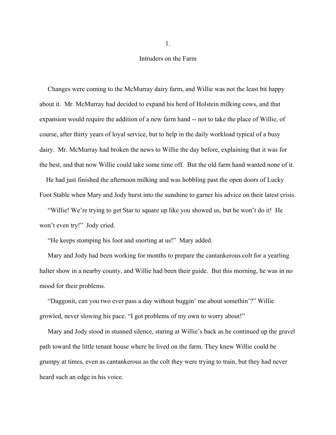## Intruders on the Farm

 Changes were coming to the McMurray dairy farm, and Willie was not the least bit happy about it. Mr. McMurray had decided to expand his herd of Holstein milking cows, and that expansion would require the addition of a new farm hand -- not to take the place of Willie, of course, after thirty years of loyal service, but to help in the daily workload typical of a busy dairy. Mr. McMurray had broken the news to Willie the day before, explaining that it was for the best, and that now Willie could take some time off. But the old farm hand wanted none of it.

 He had just finished the afternoon milking and was hobbling past the open doors of Lucky Foot Stable when Mary and Jody burst into the sunshine to garner his advice on their latest crisis.

 "Willie! We're trying to get Star to square up like you showed us, but he won't do it! He won't even try!" Jody cried.

"He keeps stomping his foot and snorting at us!" Mary added.

 Mary and Jody had been working for months to prepare the cantankerous colt for a yearling halter show in a nearby county, and Willie had been their guide. But this morning, he was in no mood for their problems.

 "Daggonit, can you two ever pass a day without buggin' me about somethin'?" Willie growled, never slowing his pace. "I got problems of my own to worry about!"

 Mary and Jody stood in stunned silence, staring at Willie's back as he continued up the gravel path toward the little tenant house where he lived on the farm. They knew Willie could be grumpy at times, even as cantankerous as the colt they were trying to train, but they had never heard such an edge in his voice.

1.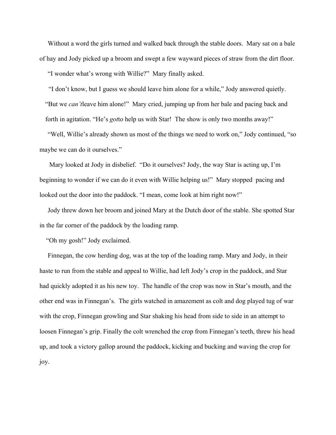Without a word the girls turned and walked back through the stable doors. Mary sat on a bale of hay and Jody picked up a broom and swept a few wayward pieces of straw from the dirt floor.

"I wonder what's wrong with Willie?" Mary finally asked.

 "I don't know, but I guess we should leave him alone for a while," Jody answered quietly. "But we can'tleave him alone!" Mary cried, jumping up from her bale and pacing back and forth in agitation. "He's gotto help us with Star! The show is only two months away!"

 "Well, Willie's already shown us most of the things we need to work on," Jody continued, "so maybe we can do it ourselves."

 Mary looked at Jody in disbelief. "Do it ourselves? Jody, the way Star is acting up, I'm beginning to wonder if we can do it even with Willie helping us!" Mary stopped pacing and looked out the door into the paddock. "I mean, come look at him right now!"

 Jody threw down her broom and joined Mary at the Dutch door of the stable. She spotted Star in the far corner of the paddock by the loading ramp.

"Oh my gosh!" Jody exclaimed.

 Finnegan, the cow herding dog, was at the top of the loading ramp. Mary and Jody, in their haste to run from the stable and appeal to Willie, had left Jody's crop in the paddock, and Star had quickly adopted it as his new toy. The handle of the crop was now in Star's mouth, and the other end was in Finnegan's. The girls watched in amazement as colt and dog played tug of war with the crop, Finnegan growling and Star shaking his head from side to side in an attempt to loosen Finnegan's grip. Finally the colt wrenched the crop from Finnegan's teeth, threw his head up, and took a victory gallop around the paddock, kicking and bucking and waving the crop for joy.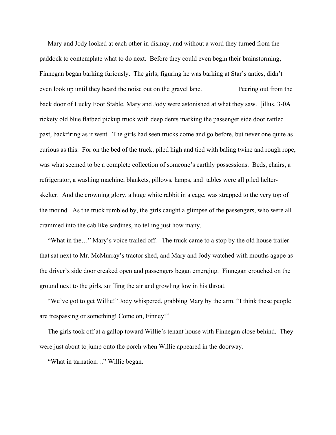Mary and Jody looked at each other in dismay, and without a word they turned from the paddock to contemplate what to do next. Before they could even begin their brainstorming, Finnegan began barking furiously. The girls, figuring he was barking at Star's antics, didn't even look up until they heard the noise out on the gravel lane. Peering out from the back door of Lucky Foot Stable, Mary and Jody were astonished at what they saw. [illus. 3-0A rickety old blue flatbed pickup truck with deep dents marking the passenger side door rattled past, backfiring as it went. The girls had seen trucks come and go before, but never one quite as curious as this. For on the bed of the truck, piled high and tied with baling twine and rough rope, was what seemed to be a complete collection of someone's earthly possessions. Beds, chairs, a refrigerator, a washing machine, blankets, pillows, lamps, and tables were all piled helterskelter. And the crowning glory, a huge white rabbit in a cage, was strapped to the very top of the mound. As the truck rumbled by, the girls caught a glimpse of the passengers, who were all crammed into the cab like sardines, no telling just how many.

 "What in the…" Mary's voice trailed off. The truck came to a stop by the old house trailer that sat next to Mr. McMurray's tractor shed, and Mary and Jody watched with mouths agape as the driver's side door creaked open and passengers began emerging. Finnegan crouched on the ground next to the girls, sniffing the air and growling low in his throat.

 "We've got to get Willie!" Jody whispered, grabbing Mary by the arm. "I think these people are trespassing or something! Come on, Finney!"

 The girls took off at a gallop toward Willie's tenant house with Finnegan close behind. They were just about to jump onto the porch when Willie appeared in the doorway.

"What in tarnation…" Willie began.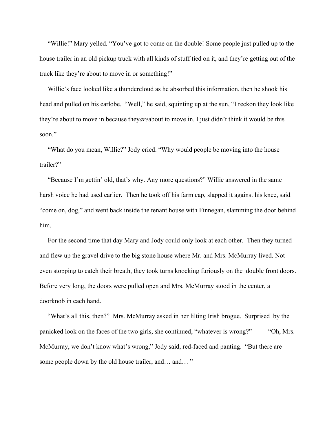"Willie!" Mary yelled. "You've got to come on the double! Some people just pulled up to the house trailer in an old pickup truck with all kinds of stuff tied on it, and they're getting out of the truck like they're about to move in or something!"

 Willie's face looked like a thundercloud as he absorbed this information, then he shook his head and pulled on his earlobe. "Well," he said, squinting up at the sun, "I reckon they look like they're about to move in because theyareabout to move in. I just didn't think it would be this soon."

 "What do you mean, Willie?" Jody cried. "Why would people be moving into the house trailer?"

 "Because I'm gettin' old, that's why. Any more questions?" Willie answered in the same harsh voice he had used earlier. Then he took off his farm cap, slapped it against his knee, said "come on, dog," and went back inside the tenant house with Finnegan, slamming the door behind him.

 For the second time that day Mary and Jody could only look at each other. Then they turned and flew up the gravel drive to the big stone house where Mr. and Mrs. McMurray lived. Not even stopping to catch their breath, they took turns knocking furiously on the double front doors. Before very long, the doors were pulled open and Mrs. McMurray stood in the center, a doorknob in each hand.

 "What's all this, then?" Mrs. McMurray asked in her lilting Irish brogue. Surprised by the panicked look on the faces of the two girls, she continued, "whatever is wrong?" "Oh, Mrs.<br>McMurray, we don't know what's wrong," Jody said, red-faced and panting. "But there are some people down by the old house trailer, and... and..."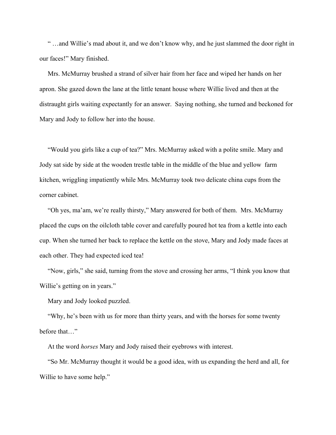" …and Willie's mad about it, and we don't know why, and he just slammed the door right in our faces!" Mary finished.

 Mrs. McMurray brushed a strand of silver hair from her face and wiped her hands on her apron. She gazed down the lane at the little tenant house where Willie lived and then at the distraught girls waiting expectantly for an answer. Saying nothing, she turned and beckoned for Mary and Jody to follow her into the house.

 "Would you girls like a cup of tea?" Mrs. McMurray asked with a polite smile. Mary and Jody sat side by side at the wooden trestle table in the middle of the blue and yellow farm kitchen, wriggling impatiently while Mrs. McMurray took two delicate china cups from the corner cabinet.

 "Oh yes, ma'am, we're really thirsty," Mary answered for both of them. Mrs. McMurray placed the cups on the oilcloth table cover and carefully poured hot tea from a kettle into each cup. When she turned her back to replace the kettle on the stove, Mary and Jody made faces at each other. They had expected iced tea!

 "Now, girls," she said, turning from the stove and crossing her arms, "I think you know that Willie's getting on in years."

Mary and Jody looked puzzled.

 "Why, he's been with us for more than thirty years, and with the horses for some twenty before that…"

At the word horses Mary and Jody raised their eyebrows with interest.

 "So Mr. McMurray thought it would be a good idea, with us expanding the herd and all, for Willie to have some help."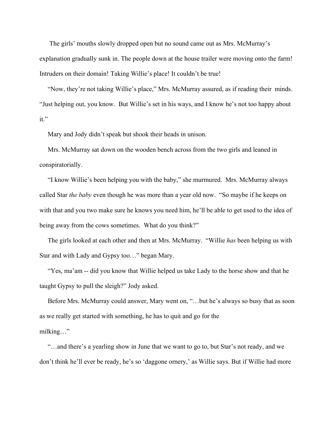The girls' mouths slowly dropped open but no sound came out as Mrs. McMurray's explanation gradually sunk in. The people down at the house trailer were moving onto the farm! Intruders on their domain! Taking Willie's place! It couldn't be true!

 "Now, they're not taking Willie's place," Mrs. McMurray assured, as if reading their minds. "Just helping out, you know. But Willie's set in his ways, and I know he's not too happy about it."

Mary and Jody didn't speak but shook their heads in unison.

 Mrs. McMurray sat down on the wooden bench across from the two girls and leaned in conspiratorially.

 "I know Willie's been helping you with the baby," she murmured. Mrs. McMurray always called Star the baby even though he was more than a year old now. "So maybe if he keeps on with that and you two make sure he knows you need him, he'll be able to get used to the idea of being away from the cows sometimes. What do you think?"

The girls looked at each other and then at Mrs. McMurray. "Willie has been helping us with Star and with Lady and Gypsy too…" began Mary.

 "Yes, ma'am -- did you know that Willie helped us take Lady to the horse show and that he taught Gypsy to pull the sleigh?" Jody asked.

 Before Mrs. McMurray could answer, Mary went on, "…but he's always so busy that as soon as we really get started with something, he has to quit and go for the milking…"

 "…and there's a yearling show in June that we want to go to, but Star's not ready, and we don't think he'll ever be ready, he's so 'daggone ornery,' as Willie says. But if Willie had more